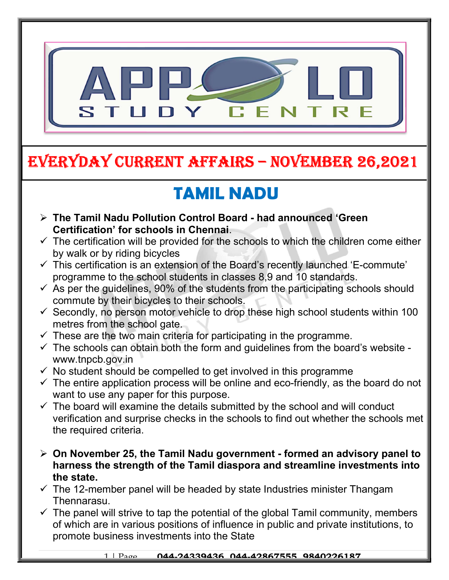

# EVERYDAY CURRENT AFFAIRS – NOVEMBER 26,2021

# TAMIL NADU

 The Tamil Nadu Pollution Control Board - had announced 'Green Certification' for schools in Chennai.

-

- $\checkmark$  The certification will be provided for the schools to which the children come either by walk or by riding bicycles
- $\checkmark$  This certification is an extension of the Board's recently launched 'E-commute' programme to the school students in classes 8,9 and 10 standards.
- $\checkmark$  As per the guidelines, 90% of the students from the participating schools should commute by their bicycles to their schools.
- $\checkmark$  Secondly, no person motor vehicle to drop these high school students within 100 metres from the school gate.
- $\checkmark$  These are the two main criteria for participating in the programme.
- $\checkmark$  The schools can obtain both the form and quidelines from the board's website www.tnpcb.gov.in
- $\checkmark$  No student should be compelled to get involved in this programme
- $\checkmark$  The entire application process will be online and eco-friendly, as the board do not want to use any paper for this purpose.
- $\checkmark$  The board will examine the details submitted by the school and will conduct verification and surprise checks in the schools to find out whether the schools met the required criteria.
- $\triangleright$  On November 25, the Tamil Nadu government formed an advisory panel to harness the strength of the Tamil diaspora and streamline investments into the state.
- $\checkmark$  The 12-member panel will be headed by state Industries minister Thangam Thennarasu.
- $\checkmark$  The panel will strive to tap the potential of the global Tamil community, members of which are in various positions of influence in public and private institutions, to promote business investments into the State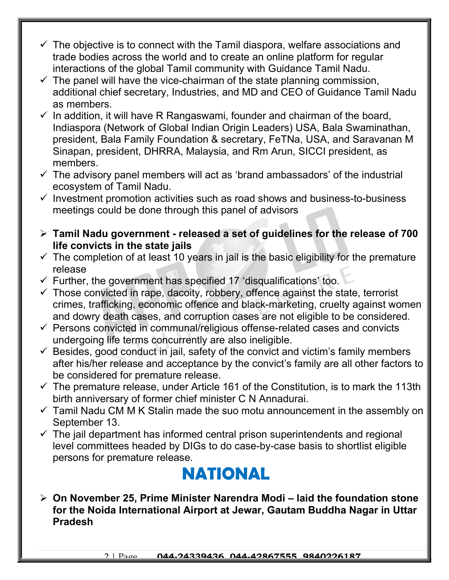- $\checkmark$  The objective is to connect with the Tamil diaspora, welfare associations and trade bodies across the world and to create an online platform for regular interactions of the global Tamil community with Guidance Tamil Nadu.
- $\checkmark$  The panel will have the vice-chairman of the state planning commission, additional chief secretary, Industries, and MD and CEO of Guidance Tamil Nadu as members.
- $\checkmark$  In addition, it will have R Rangaswami, founder and chairman of the board, Indiaspora (Network of Global Indian Origin Leaders) USA, Bala Swaminathan, president, Bala Family Foundation & secretary, FeTNa, USA, and Saravanan M Sinapan, president, DHRRA, Malaysia, and Rm Arun, SICCI president, as members.
- $\checkmark$  The advisory panel members will act as 'brand ambassadors' of the industrial ecosystem of Tamil Nadu.
- $\checkmark$  Investment promotion activities such as road shows and business-to-business meetings could be done through this panel of advisors
- $\geq$  Tamil Nadu government released a set of guidelines for the release of 700 life convicts in the state jails
- $\checkmark$  The completion of at least 10 years in jail is the basic eligibility for the premature release
- $\checkmark$  Further, the government has specified 17 'disqualifications' too.
- $\checkmark$  Those convicted in rape, dacoity, robbery, offence against the state, terrorist crimes, trafficking, economic offence and black-marketing, cruelty against women and dowry death cases, and corruption cases are not eligible to be considered.
- $\checkmark$  Persons convicted in communal/religious offense-related cases and convicts undergoing life terms concurrently are also ineligible.
- $\checkmark$  Besides, good conduct in jail, safety of the convict and victim's family members after his/her release and acceptance by the convict's family are all other factors to be considered for premature release.
- $\checkmark$  The premature release, under Article 161 of the Constitution, is to mark the 113th birth anniversary of former chief minister C N Annadurai.
- $\checkmark$  Tamil Nadu CM M K Stalin made the suo motu announcement in the assembly on September 13.
- $\checkmark$  The jail department has informed central prison superintendents and regional level committees headed by DIGs to do case-by-case basis to shortlist eligible persons for premature release.

## NATIONAL

 $\triangleright$  On November 25, Prime Minister Narendra Modi – laid the foundation stone for the Noida International Airport at Jewar, Gautam Buddha Nagar in Uttar Pradesh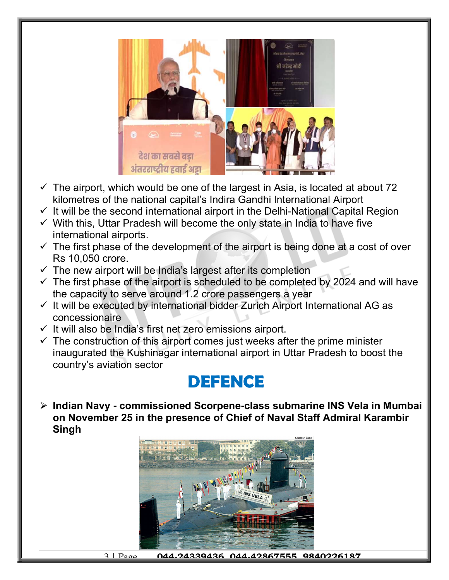

- $\checkmark$  The airport, which would be one of the largest in Asia, is located at about 72 kilometres of the national capital's Indira Gandhi International Airport
- $\checkmark$  It will be the second international airport in the Delhi-National Capital Region
- $\checkmark$  With this, Uttar Pradesh will become the only state in India to have five international airports.
- $\checkmark$  The first phase of the development of the airport is being done at a cost of over Rs 10,050 crore.
- $\checkmark$  The new airport will be India's largest after its completion
- $\checkmark$  The first phase of the airport is scheduled to be completed by 2024 and will have the capacity to serve around 1.2 crore passengers a year
- $\checkmark$  It will be executed by international bidder Zurich Airport International AG as concessionaire
- $\checkmark$  It will also be India's first net zero emissions airport.
- $\checkmark$  The construction of this airport comes just weeks after the prime minister inaugurated the Kushinagar international airport in Uttar Pradesh to boost the country's aviation sector

### DEFENCE

 $\triangleright$  Indian Navy - commissioned Scorpene-class submarine INS Vela in Mumbai on November 25 in the presence of Chief of Naval Staff Admiral Karambir Singh

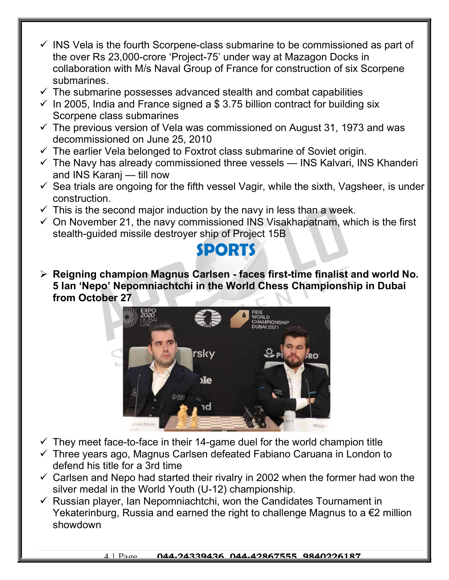- $\checkmark$  INS Vela is the fourth Scorpene-class submarine to be commissioned as part of the over Rs 23,000-crore 'Project-75' under way at Mazagon Docks in collaboration with M/s Naval Group of France for construction of six Scorpene submarines.
- $\checkmark$  The submarine possesses advanced stealth and combat capabilities
- $\checkmark$  In 2005, India and France signed a \$ 3.75 billion contract for building six Scorpene class submarines
- $\checkmark$  The previous version of Vela was commissioned on August 31, 1973 and was decommissioned on June 25, 2010
- $\checkmark$  The earlier Vela belonged to Foxtrot class submarine of Soviet origin.
- $\checkmark$  The Navy has already commissioned three vessels INS Kalvari, INS Khanderi and INS Karanj — till now
- $\checkmark$  Sea trials are ongoing for the fifth vessel Vagir, while the sixth, Vagsheer, is under construction.
- $\checkmark$  This is the second major induction by the navy in less than a week.
- $\checkmark$  On November 21, the navy commissioned INS Visakhapatnam, which is the first stealth-guided missile destroyer ship of Project 15B

### SPORTS

 $\triangleright$  Reigning champion Magnus Carlsen - faces first-time finalist and world No. 5 Ian 'Nepo' Nepomniachtchi in the World Chess Championship in Dubai from October 27



- $\checkmark$  They meet face-to-face in their 14-game duel for the world champion title
- $\checkmark$  Three years ago, Magnus Carlsen defeated Fabiano Caruana in London to defend his title for a 3rd time
- $\checkmark$  Carlsen and Nepo had started their rivalry in 2002 when the former had won the silver medal in the World Youth (U-12) championship.
- $\checkmark$  Russian player, Ian Nepomniachtchi, won the Candidates Tournament in Yekaterinburg, Russia and earned the right to challenge Magnus to a €2 million showdown